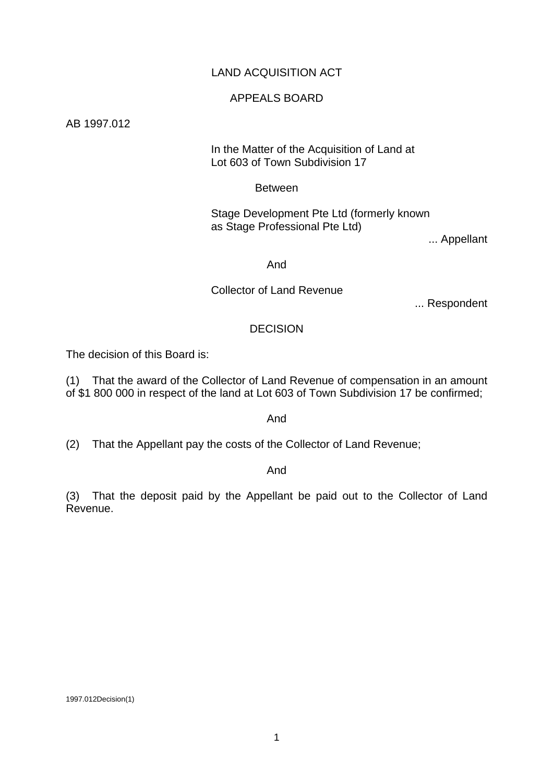# LAND ACQUISITION ACT

### APPEALS BOARD

AB 1997.012

#### In the Matter of the Acquisition of Land at Lot 603 of Town Subdivision 17

#### Between

 Stage Development Pte Ltd (formerly known as Stage Professional Pte Ltd)

... Appellant

#### And

# Collector of Land Revenue

... Respondent

### DECISION

The decision of this Board is:

(1) That the award of the Collector of Land Revenue of compensation in an amount of \$1 800 000 in respect of the land at Lot 603 of Town Subdivision 17 be confirmed;

#### And

(2) That the Appellant pay the costs of the Collector of Land Revenue;

#### And

(3) That the deposit paid by the Appellant be paid out to the Collector of Land Revenue.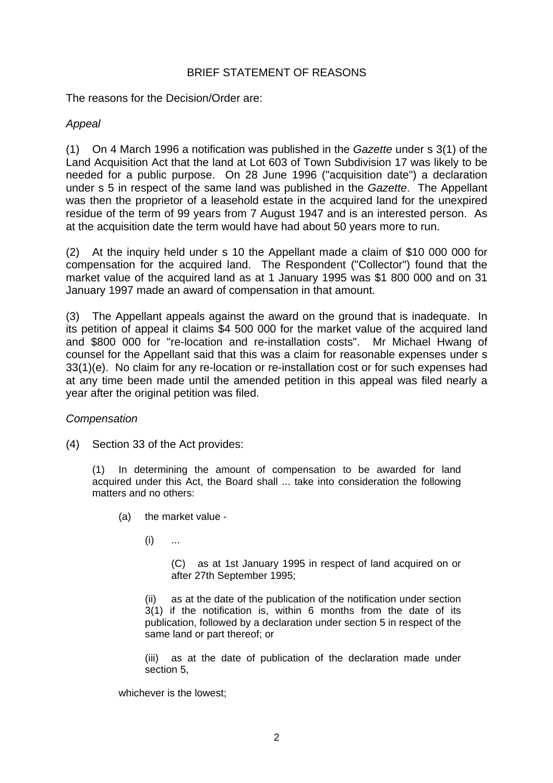# BRIEF STATEMENT OF REASONS

The reasons for the Decision/Order are:

# *Appeal*

(1) On 4 March 1996 a notification was published in the *Gazette* under s 3(1) of the Land Acquisition Act that the land at Lot 603 of Town Subdivision 17 was likely to be needed for a public purpose. On 28 June 1996 ("acquisition date") a declaration under s 5 in respect of the same land was published in the *Gazette*. The Appellant was then the proprietor of a leasehold estate in the acquired land for the unexpired residue of the term of 99 years from 7 August 1947 and is an interested person. As at the acquisition date the term would have had about 50 years more to run.

(2) At the inquiry held under s 10 the Appellant made a claim of \$10 000 000 for compensation for the acquired land. The Respondent ("Collector") found that the market value of the acquired land as at 1 January 1995 was \$1 800 000 and on 31 January 1997 made an award of compensation in that amount.

(3) The Appellant appeals against the award on the ground that is inadequate. In its petition of appeal it claims \$4 500 000 for the market value of the acquired land and \$800 000 for "re-location and re-installation costs". Mr Michael Hwang of counsel for the Appellant said that this was a claim for reasonable expenses under s 33(1)(e). No claim for any re-location or re-installation cost or for such expenses had at any time been made until the amended petition in this appeal was filed nearly a year after the original petition was filed.

# *Compensation*

(4) Section 33 of the Act provides:

(1) In determining the amount of compensation to be awarded for land acquired under this Act, the Board shall ... take into consideration the following matters and no others:

- (a) the market value
	- $(i)$  ...

 (C) as at 1st January 1995 in respect of land acquired on or after 27th September 1995;

 (ii) as at the date of the publication of the notification under section 3(1) if the notification is, within 6 months from the date of its publication, followed by a declaration under section 5 in respect of the same land or part thereof; or

 (iii) as at the date of publication of the declaration made under section 5,

whichever is the lowest;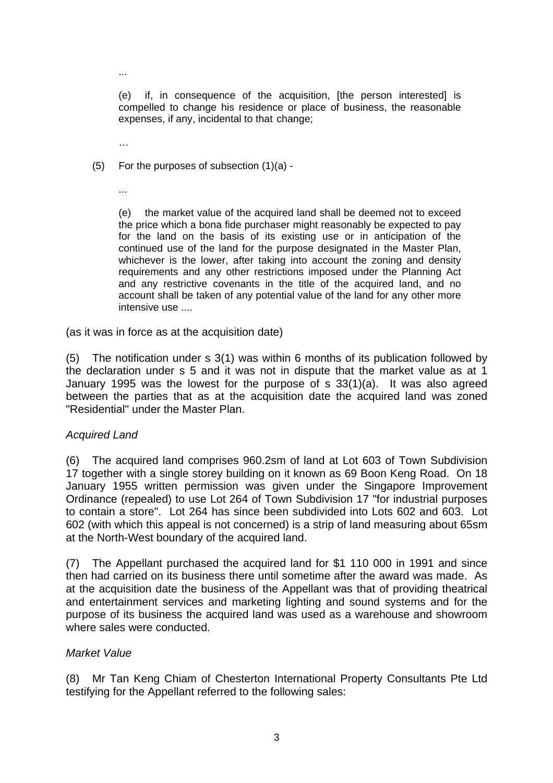(e) if, in consequence of the acquisition, [the person interested] is compelled to change his residence or place of business, the reasonable expenses, if any, incidental to that change;

…

...

(5) For the purposes of subsection (1)(a) -

...

(e) the market value of the acquired land shall be deemed not to exceed the price which a bona fide purchaser might reasonably be expected to pay for the land on the basis of its existing use or in anticipation of the continued use of the land for the purpose designated in the Master Plan, whichever is the lower, after taking into account the zoning and density requirements and any other restrictions imposed under the Planning Act and any restrictive covenants in the title of the acquired land, and no account shall be taken of any potential value of the land for any other more intensive use ....

(as it was in force as at the acquisition date)

(5) The notification under s 3(1) was within 6 months of its publication followed by the declaration under s 5 and it was not in dispute that the market value as at 1 January 1995 was the lowest for the purpose of s 33(1)(a). It was also agreed between the parties that as at the acquisition date the acquired land was zoned "Residential" under the Master Plan.

#### *Acquired Land*

(6) The acquired land comprises 960.2sm of land at Lot 603 of Town Subdivision 17 together with a single storey building on it known as 69 Boon Keng Road. On 18 January 1955 written permission was given under the Singapore Improvement Ordinance (repealed) to use Lot 264 of Town Subdivision 17 "for industrial purposes to contain a store". Lot 264 has since been subdivided into Lots 602 and 603. Lot 602 (with which this appeal is not concerned) is a strip of land measuring about 65sm at the North-West boundary of the acquired land.

(7) The Appellant purchased the acquired land for \$1 110 000 in 1991 and since then had carried on its business there until sometime after the award was made. As at the acquisition date the business of the Appellant was that of providing theatrical and entertainment services and marketing lighting and sound systems and for the purpose of its business the acquired land was used as a warehouse and showroom where sales were conducted.

#### *Market Value*

(8) Mr Tan Keng Chiam of Chesterton International Property Consultants Pte Ltd testifying for the Appellant referred to the following sales: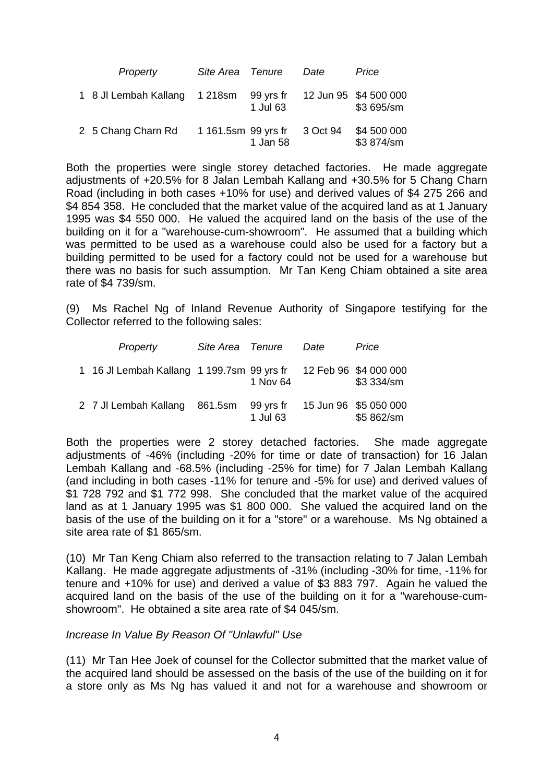| Property                      | Site Area Tenure    |                       | Date     | Price                               |
|-------------------------------|---------------------|-----------------------|----------|-------------------------------------|
| 1 8 Jl Lembah Kallang 1 218sm |                     | 99 yrs fr<br>1 Jul 63 |          | 12 Jun 95 \$4 500 000<br>\$3 695/sm |
| 2 5 Chang Charn Rd            | 1 161.5sm 99 yrs fr | 1 Jan 58              | 3 Oct 94 | \$4 500 000<br>\$3 874/sm           |

Both the properties were single storey detached factories. He made aggregate adjustments of +20.5% for 8 Jalan Lembah Kallang and +30.5% for 5 Chang Charn Road (including in both cases +10% for use) and derived values of \$4 275 266 and \$4 854 358. He concluded that the market value of the acquired land as at 1 January 1995 was \$4 550 000. He valued the acquired land on the basis of the use of the building on it for a "warehouse-cum-showroom". He assumed that a building which was permitted to be used as a warehouse could also be used for a factory but a building permitted to be used for a factory could not be used for a warehouse but there was no basis for such assumption. Mr Tan Keng Chiam obtained a site area rate of \$4 739/sm.

(9) Ms Rachel Ng of Inland Revenue Authority of Singapore testifying for the Collector referred to the following sales:

| Property                                   | Site Area Tenure |                       | Date | Price                               |
|--------------------------------------------|------------------|-----------------------|------|-------------------------------------|
| 1 16 Jl Lembah Kallang 1 199.7sm 99 yrs fr |                  | 1 Nov 64              |      | 12 Feb 96 \$4 000 000<br>\$3 334/sm |
| 2 7 Jl Lembah Kallang                      | 861.5sm          | 99 yrs fr<br>1 Jul 63 |      | 15 Jun 96 \$5 050 000<br>\$5 862/sm |

Both the properties were 2 storey detached factories. She made aggregate adjustments of -46% (including -20% for time or date of transaction) for 16 Jalan Lembah Kallang and -68.5% (including -25% for time) for 7 Jalan Lembah Kallang (and including in both cases -11% for tenure and -5% for use) and derived values of \$1 728 792 and \$1 772 998. She concluded that the market value of the acquired land as at 1 January 1995 was \$1 800 000. She valued the acquired land on the basis of the use of the building on it for a "store" or a warehouse. Ms Ng obtained a site area rate of \$1 865/sm.

(10) Mr Tan Keng Chiam also referred to the transaction relating to 7 Jalan Lembah Kallang. He made aggregate adjustments of -31% (including -30% for time, -11% for tenure and +10% for use) and derived a value of \$3 883 797. Again he valued the acquired land on the basis of the use of the building on it for a "warehouse-cumshowroom". He obtained a site area rate of \$4 045/sm.

#### *Increase In Value By Reason Of "Unlawful" Use*

(11) Mr Tan Hee Joek of counsel for the Collector submitted that the market value of the acquired land should be assessed on the basis of the use of the building on it for a store only as Ms Ng has valued it and not for a warehouse and showroom or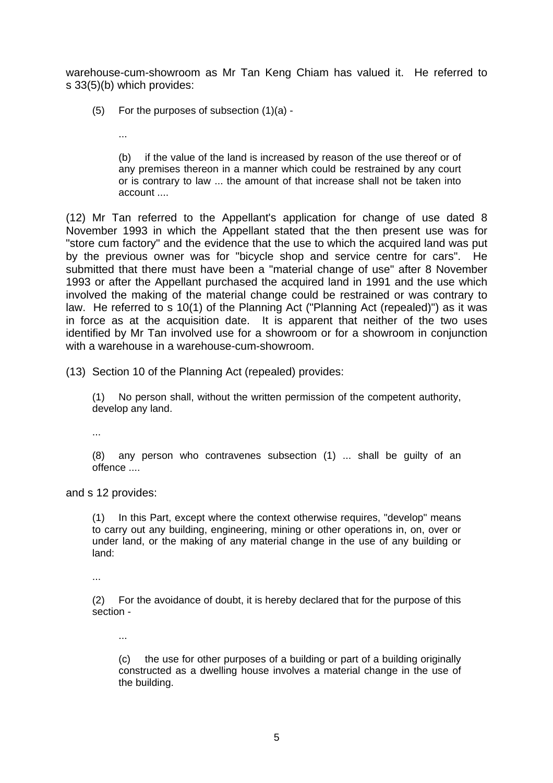warehouse-cum-showroom as Mr Tan Keng Chiam has valued it. He referred to s 33(5)(b) which provides:

(5) For the purposes of subsection (1)(a) -

...

 (b) if the value of the land is increased by reason of the use thereof or of any premises thereon in a manner which could be restrained by any court or is contrary to law ... the amount of that increase shall not be taken into account ....

(12) Mr Tan referred to the Appellant's application for change of use dated 8 November 1993 in which the Appellant stated that the then present use was for "store cum factory" and the evidence that the use to which the acquired land was put by the previous owner was for "bicycle shop and service centre for cars". He submitted that there must have been a "material change of use" after 8 November 1993 or after the Appellant purchased the acquired land in 1991 and the use which involved the making of the material change could be restrained or was contrary to law. He referred to s 10(1) of the Planning Act ("Planning Act (repealed)") as it was in force as at the acquisition date. It is apparent that neither of the two uses identified by Mr Tan involved use for a showroom or for a showroom in conjunction with a warehouse in a warehouse-cum-showroom.

(13) Section 10 of the Planning Act (repealed) provides:

(1) No person shall, without the written permission of the competent authority, develop any land.

...

(8) any person who contravenes subsection (1) ... shall be guilty of an offence ....

and s 12 provides:

(1) In this Part, except where the context otherwise requires, "develop" means to carry out any building, engineering, mining or other operations in, on, over or under land, or the making of any material change in the use of any building or land:

...

(2) For the avoidance of doubt, it is hereby declared that for the purpose of this section -

...

 (c) the use for other purposes of a building or part of a building originally constructed as a dwelling house involves a material change in the use of the building.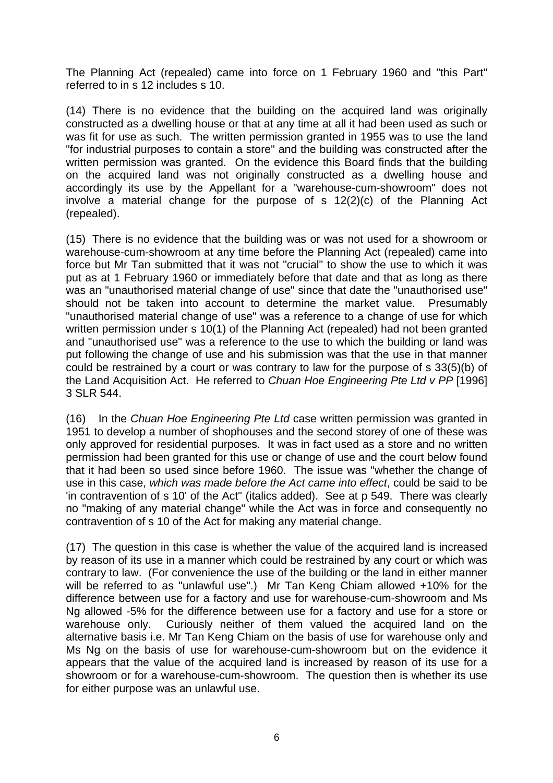The Planning Act (repealed) came into force on 1 February 1960 and "this Part" referred to in s 12 includes s 10.

(14) There is no evidence that the building on the acquired land was originally constructed as a dwelling house or that at any time at all it had been used as such or was fit for use as such. The written permission granted in 1955 was to use the land "for industrial purposes to contain a store" and the building was constructed after the written permission was granted. On the evidence this Board finds that the building on the acquired land was not originally constructed as a dwelling house and accordingly its use by the Appellant for a "warehouse-cum-showroom" does not involve a material change for the purpose of s 12(2)(c) of the Planning Act (repealed).

(15) There is no evidence that the building was or was not used for a showroom or warehouse-cum-showroom at any time before the Planning Act (repealed) came into force but Mr Tan submitted that it was not "crucial" to show the use to which it was put as at 1 February 1960 or immediately before that date and that as long as there was an "unauthorised material change of use" since that date the "unauthorised use" should not be taken into account to determine the market value. Presumably "unauthorised material change of use" was a reference to a change of use for which written permission under s 10(1) of the Planning Act (repealed) had not been granted and "unauthorised use" was a reference to the use to which the building or land was put following the change of use and his submission was that the use in that manner could be restrained by a court or was contrary to law for the purpose of s 33(5)(b) of the Land Acquisition Act. He referred to *Chuan Hoe Engineering Pte Ltd v PP* [1996] 3 SLR 544.

(16) In the *Chuan Hoe Engineering Pte Ltd* case written permission was granted in 1951 to develop a number of shophouses and the second storey of one of these was only approved for residential purposes. It was in fact used as a store and no written permission had been granted for this use or change of use and the court below found that it had been so used since before 1960. The issue was "whether the change of use in this case, *which was made before the Act came into effect*, could be said to be 'in contravention of s 10' of the Act" (italics added). See at p 549. There was clearly no "making of any material change" while the Act was in force and consequently no contravention of s 10 of the Act for making any material change.

(17) The question in this case is whether the value of the acquired land is increased by reason of its use in a manner which could be restrained by any court or which was contrary to law. (For convenience the use of the building or the land in either manner will be referred to as "unlawful use".) Mr Tan Keng Chiam allowed +10% for the difference between use for a factory and use for warehouse-cum-showroom and Ms Ng allowed -5% for the difference between use for a factory and use for a store or warehouse only. Curiously neither of them valued the acquired land on the alternative basis i.e. Mr Tan Keng Chiam on the basis of use for warehouse only and Ms Ng on the basis of use for warehouse-cum-showroom but on the evidence it appears that the value of the acquired land is increased by reason of its use for a showroom or for a warehouse-cum-showroom. The question then is whether its use for either purpose was an unlawful use.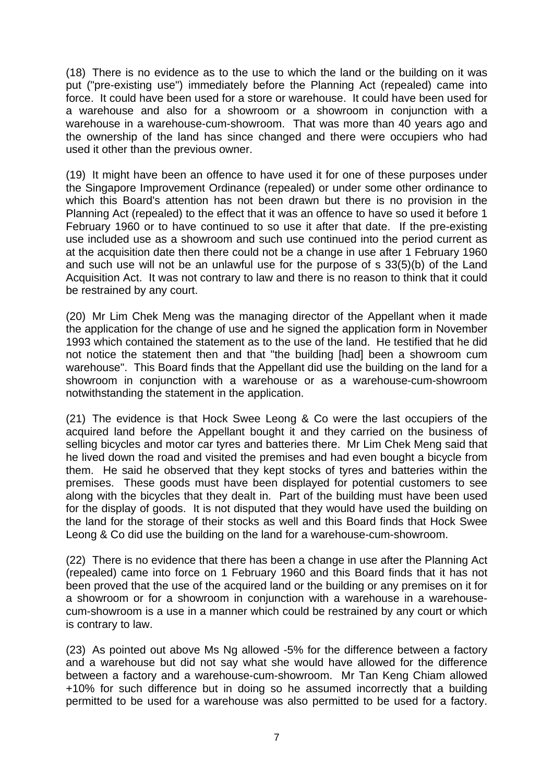(18) There is no evidence as to the use to which the land or the building on it was put ("pre-existing use") immediately before the Planning Act (repealed) came into force. It could have been used for a store or warehouse. It could have been used for a warehouse and also for a showroom or a showroom in conjunction with a warehouse in a warehouse-cum-showroom. That was more than 40 years ago and the ownership of the land has since changed and there were occupiers who had used it other than the previous owner.

(19) It might have been an offence to have used it for one of these purposes under the Singapore Improvement Ordinance (repealed) or under some other ordinance to which this Board's attention has not been drawn but there is no provision in the Planning Act (repealed) to the effect that it was an offence to have so used it before 1 February 1960 or to have continued to so use it after that date. If the pre-existing use included use as a showroom and such use continued into the period current as at the acquisition date then there could not be a change in use after 1 February 1960 and such use will not be an unlawful use for the purpose of s 33(5)(b) of the Land Acquisition Act. It was not contrary to law and there is no reason to think that it could be restrained by any court.

(20) Mr Lim Chek Meng was the managing director of the Appellant when it made the application for the change of use and he signed the application form in November 1993 which contained the statement as to the use of the land. He testified that he did not notice the statement then and that "the building [had] been a showroom cum warehouse". This Board finds that the Appellant did use the building on the land for a showroom in conjunction with a warehouse or as a warehouse-cum-showroom notwithstanding the statement in the application.

(21) The evidence is that Hock Swee Leong & Co were the last occupiers of the acquired land before the Appellant bought it and they carried on the business of selling bicycles and motor car tyres and batteries there. Mr Lim Chek Meng said that he lived down the road and visited the premises and had even bought a bicycle from them. He said he observed that they kept stocks of tyres and batteries within the premises. These goods must have been displayed for potential customers to see along with the bicycles that they dealt in. Part of the building must have been used for the display of goods. It is not disputed that they would have used the building on the land for the storage of their stocks as well and this Board finds that Hock Swee Leong & Co did use the building on the land for a warehouse-cum-showroom.

(22) There is no evidence that there has been a change in use after the Planning Act (repealed) came into force on 1 February 1960 and this Board finds that it has not been proved that the use of the acquired land or the building or any premises on it for a showroom or for a showroom in conjunction with a warehouse in a warehousecum-showroom is a use in a manner which could be restrained by any court or which is contrary to law.

(23) As pointed out above Ms Ng allowed -5% for the difference between a factory and a warehouse but did not say what she would have allowed for the difference between a factory and a warehouse-cum-showroom. Mr Tan Keng Chiam allowed +10% for such difference but in doing so he assumed incorrectly that a building permitted to be used for a warehouse was also permitted to be used for a factory.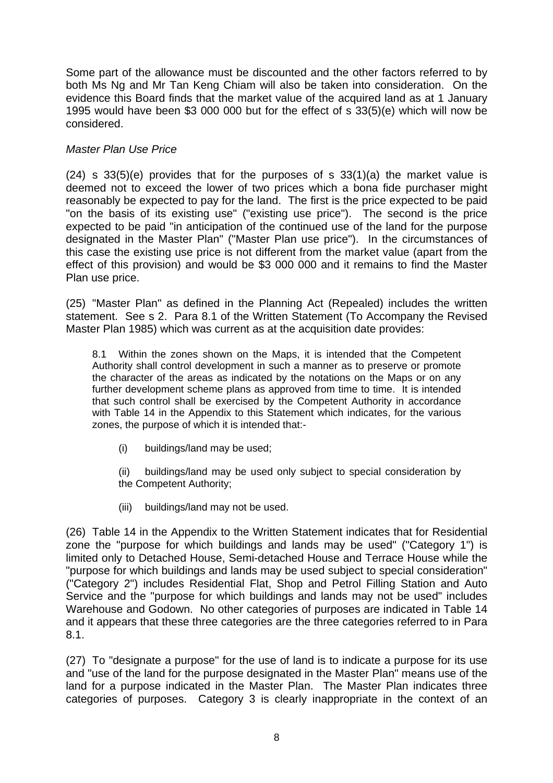Some part of the allowance must be discounted and the other factors referred to by both Ms Ng and Mr Tan Keng Chiam will also be taken into consideration. On the evidence this Board finds that the market value of the acquired land as at 1 January 1995 would have been \$3 000 000 but for the effect of s 33(5)(e) which will now be considered.

# *Master Plan Use Price*

 $(24)$  s 33(5)(e) provides that for the purposes of s 33(1)(a) the market value is deemed not to exceed the lower of two prices which a bona fide purchaser might reasonably be expected to pay for the land. The first is the price expected to be paid "on the basis of its existing use" ("existing use price"). The second is the price expected to be paid "in anticipation of the continued use of the land for the purpose designated in the Master Plan" ("Master Plan use price"). In the circumstances of this case the existing use price is not different from the market value (apart from the effect of this provision) and would be \$3 000 000 and it remains to find the Master Plan use price.

(25) "Master Plan" as defined in the Planning Act (Repealed) includes the written statement. See s 2. Para 8.1 of the Written Statement (To Accompany the Revised Master Plan 1985) which was current as at the acquisition date provides:

8.1 Within the zones shown on the Maps, it is intended that the Competent Authority shall control development in such a manner as to preserve or promote the character of the areas as indicated by the notations on the Maps or on any further development scheme plans as approved from time to time. It is intended that such control shall be exercised by the Competent Authority in accordance with Table 14 in the Appendix to this Statement which indicates, for the various zones, the purpose of which it is intended that:-

(i) buildings/land may be used;

 (ii) buildings/land may be used only subject to special consideration by the Competent Authority;

(iii) buildings/land may not be used.

(26) Table 14 in the Appendix to the Written Statement indicates that for Residential zone the "purpose for which buildings and lands may be used" ("Category 1") is limited only to Detached House, Semi-detached House and Terrace House while the "purpose for which buildings and lands may be used subject to special consideration" ("Category 2") includes Residential Flat, Shop and Petrol Filling Station and Auto Service and the "purpose for which buildings and lands may not be used" includes Warehouse and Godown. No other categories of purposes are indicated in Table 14 and it appears that these three categories are the three categories referred to in Para 8.1.

(27) To "designate a purpose" for the use of land is to indicate a purpose for its use and "use of the land for the purpose designated in the Master Plan" means use of the land for a purpose indicated in the Master Plan. The Master Plan indicates three categories of purposes. Category 3 is clearly inappropriate in the context of an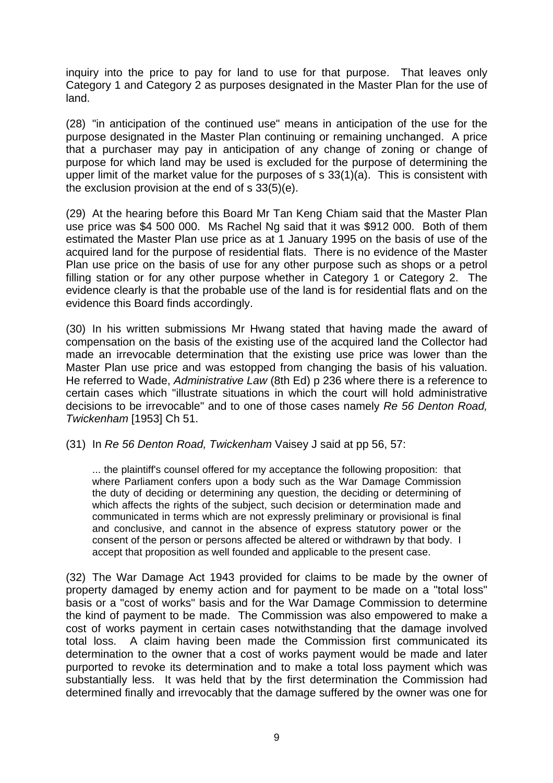inquiry into the price to pay for land to use for that purpose. That leaves only Category 1 and Category 2 as purposes designated in the Master Plan for the use of land.

(28) "in anticipation of the continued use" means in anticipation of the use for the purpose designated in the Master Plan continuing or remaining unchanged. A price that a purchaser may pay in anticipation of any change of zoning or change of purpose for which land may be used is excluded for the purpose of determining the upper limit of the market value for the purposes of s 33(1)(a). This is consistent with the exclusion provision at the end of s 33(5)(e).

(29) At the hearing before this Board Mr Tan Keng Chiam said that the Master Plan use price was \$4 500 000. Ms Rachel Ng said that it was \$912 000. Both of them estimated the Master Plan use price as at 1 January 1995 on the basis of use of the acquired land for the purpose of residential flats. There is no evidence of the Master Plan use price on the basis of use for any other purpose such as shops or a petrol filling station or for any other purpose whether in Category 1 or Category 2. The evidence clearly is that the probable use of the land is for residential flats and on the evidence this Board finds accordingly.

(30) In his written submissions Mr Hwang stated that having made the award of compensation on the basis of the existing use of the acquired land the Collector had made an irrevocable determination that the existing use price was lower than the Master Plan use price and was estopped from changing the basis of his valuation. He referred to Wade, *Administrative Law* (8th Ed) p 236 where there is a reference to certain cases which "illustrate situations in which the court will hold administrative decisions to be irrevocable" and to one of those cases namely *Re 56 Denton Road, Twickenham* [1953] Ch 51.

(31) In *Re 56 Denton Road, Twickenham* Vaisey J said at pp 56, 57:

... the plaintiff's counsel offered for my acceptance the following proposition: that where Parliament confers upon a body such as the War Damage Commission the duty of deciding or determining any question, the deciding or determining of which affects the rights of the subject, such decision or determination made and communicated in terms which are not expressly preliminary or provisional is final and conclusive, and cannot in the absence of express statutory power or the consent of the person or persons affected be altered or withdrawn by that body. I accept that proposition as well founded and applicable to the present case.

(32) The War Damage Act 1943 provided for claims to be made by the owner of property damaged by enemy action and for payment to be made on a "total loss" basis or a "cost of works" basis and for the War Damage Commission to determine the kind of payment to be made. The Commission was also empowered to make a cost of works payment in certain cases notwithstanding that the damage involved total loss. A claim having been made the Commission first communicated its determination to the owner that a cost of works payment would be made and later purported to revoke its determination and to make a total loss payment which was substantially less. It was held that by the first determination the Commission had determined finally and irrevocably that the damage suffered by the owner was one for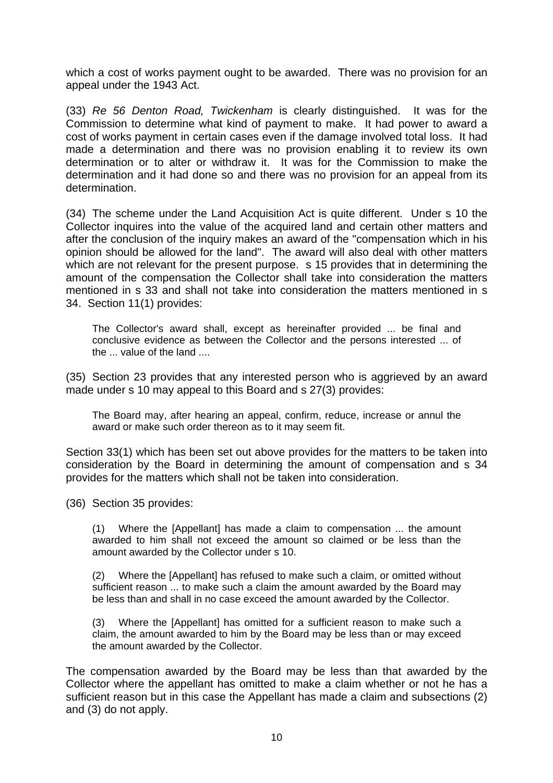which a cost of works payment ought to be awarded. There was no provision for an appeal under the 1943 Act.

(33) *Re 56 Denton Road, Twickenham* is clearly distinguished. It was for the Commission to determine what kind of payment to make. It had power to award a cost of works payment in certain cases even if the damage involved total loss. It had made a determination and there was no provision enabling it to review its own determination or to alter or withdraw it. It was for the Commission to make the determination and it had done so and there was no provision for an appeal from its determination.

(34) The scheme under the Land Acquisition Act is quite different. Under s 10 the Collector inquires into the value of the acquired land and certain other matters and after the conclusion of the inquiry makes an award of the "compensation which in his opinion should be allowed for the land". The award will also deal with other matters which are not relevant for the present purpose. s 15 provides that in determining the amount of the compensation the Collector shall take into consideration the matters mentioned in s 33 and shall not take into consideration the matters mentioned in s 34. Section 11(1) provides:

The Collector's award shall, except as hereinafter provided ... be final and conclusive evidence as between the Collector and the persons interested ... of the ... value of the land ....

(35) Section 23 provides that any interested person who is aggrieved by an award made under s 10 may appeal to this Board and s 27(3) provides:

The Board may, after hearing an appeal, confirm, reduce, increase or annul the award or make such order thereon as to it may seem fit.

Section 33(1) which has been set out above provides for the matters to be taken into consideration by the Board in determining the amount of compensation and s 34 provides for the matters which shall not be taken into consideration.

(36) Section 35 provides:

(1) Where the [Appellant] has made a claim to compensation ... the amount awarded to him shall not exceed the amount so claimed or be less than the amount awarded by the Collector under s 10.

(2) Where the [Appellant] has refused to make such a claim, or omitted without sufficient reason ... to make such a claim the amount awarded by the Board may be less than and shall in no case exceed the amount awarded by the Collector.

(3) Where the [Appellant] has omitted for a sufficient reason to make such a claim, the amount awarded to him by the Board may be less than or may exceed the amount awarded by the Collector.

The compensation awarded by the Board may be less than that awarded by the Collector where the appellant has omitted to make a claim whether or not he has a sufficient reason but in this case the Appellant has made a claim and subsections (2) and (3) do not apply.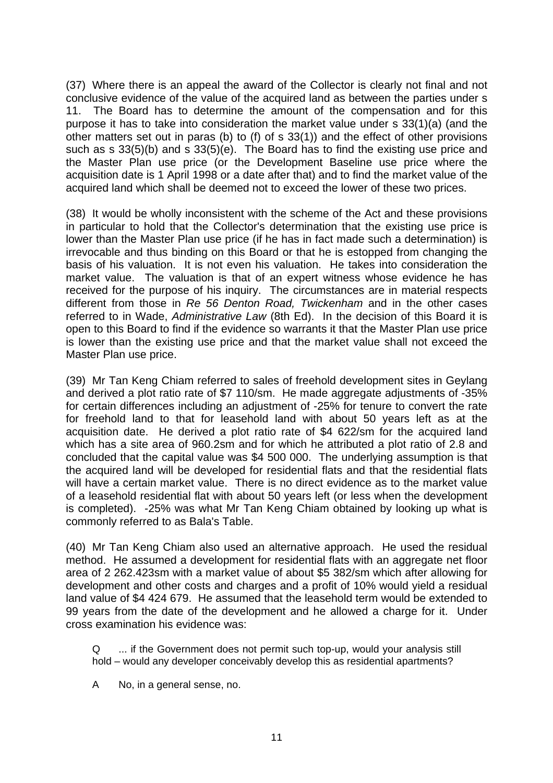(37) Where there is an appeal the award of the Collector is clearly not final and not conclusive evidence of the value of the acquired land as between the parties under s 11. The Board has to determine the amount of the compensation and for this purpose it has to take into consideration the market value under s 33(1)(a) (and the other matters set out in paras (b) to (f) of s 33(1)) and the effect of other provisions such as s 33(5)(b) and s 33(5)(e). The Board has to find the existing use price and the Master Plan use price (or the Development Baseline use price where the acquisition date is 1 April 1998 or a date after that) and to find the market value of the acquired land which shall be deemed not to exceed the lower of these two prices.

(38) It would be wholly inconsistent with the scheme of the Act and these provisions in particular to hold that the Collector's determination that the existing use price is lower than the Master Plan use price (if he has in fact made such a determination) is irrevocable and thus binding on this Board or that he is estopped from changing the basis of his valuation. It is not even his valuation. He takes into consideration the market value. The valuation is that of an expert witness whose evidence he has received for the purpose of his inquiry. The circumstances are in material respects different from those in *Re 56 Denton Road, Twickenham* and in the other cases referred to in Wade, *Administrative Law* (8th Ed). In the decision of this Board it is open to this Board to find if the evidence so warrants it that the Master Plan use price is lower than the existing use price and that the market value shall not exceed the Master Plan use price.

(39) Mr Tan Keng Chiam referred to sales of freehold development sites in Geylang and derived a plot ratio rate of \$7 110/sm. He made aggregate adjustments of -35% for certain differences including an adjustment of -25% for tenure to convert the rate for freehold land to that for leasehold land with about 50 years left as at the acquisition date. He derived a plot ratio rate of \$4 622/sm for the acquired land which has a site area of 960.2sm and for which he attributed a plot ratio of 2.8 and concluded that the capital value was \$4 500 000. The underlying assumption is that the acquired land will be developed for residential flats and that the residential flats will have a certain market value. There is no direct evidence as to the market value of a leasehold residential flat with about 50 years left (or less when the development is completed). -25% was what Mr Tan Keng Chiam obtained by looking up what is commonly referred to as Bala's Table.

(40) Mr Tan Keng Chiam also used an alternative approach. He used the residual method. He assumed a development for residential flats with an aggregate net floor area of 2 262.423sm with a market value of about \$5 382/sm which after allowing for development and other costs and charges and a profit of 10% would yield a residual land value of \$4 424 679. He assumed that the leasehold term would be extended to 99 years from the date of the development and he allowed a charge for it. Under cross examination his evidence was:

Q ... if the Government does not permit such top-up, would your analysis still hold – would any developer conceivably develop this as residential apartments?

A No, in a general sense, no.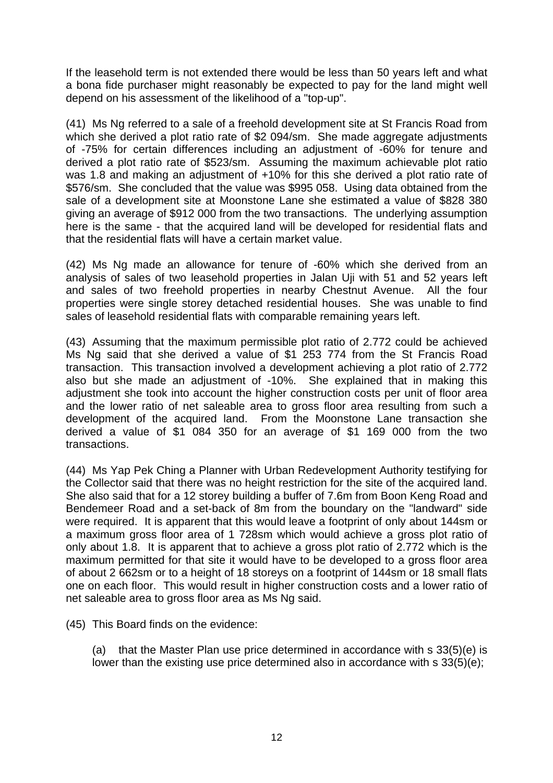If the leasehold term is not extended there would be less than 50 years left and what a bona fide purchaser might reasonably be expected to pay for the land might well depend on his assessment of the likelihood of a "top-up".

(41) Ms Ng referred to a sale of a freehold development site at St Francis Road from which she derived a plot ratio rate of \$2 094/sm. She made aggregate adjustments of -75% for certain differences including an adjustment of -60% for tenure and derived a plot ratio rate of \$523/sm. Assuming the maximum achievable plot ratio was 1.8 and making an adjustment of +10% for this she derived a plot ratio rate of \$576/sm. She concluded that the value was \$995 058. Using data obtained from the sale of a development site at Moonstone Lane she estimated a value of \$828 380 giving an average of \$912 000 from the two transactions. The underlying assumption here is the same - that the acquired land will be developed for residential flats and that the residential flats will have a certain market value.

(42) Ms Ng made an allowance for tenure of -60% which she derived from an analysis of sales of two leasehold properties in Jalan Uji with 51 and 52 years left and sales of two freehold properties in nearby Chestnut Avenue. All the four properties were single storey detached residential houses. She was unable to find sales of leasehold residential flats with comparable remaining years left.

(43) Assuming that the maximum permissible plot ratio of 2.772 could be achieved Ms Ng said that she derived a value of \$1 253 774 from the St Francis Road transaction. This transaction involved a development achieving a plot ratio of 2.772 also but she made an adjustment of -10%. She explained that in making this adjustment she took into account the higher construction costs per unit of floor area and the lower ratio of net saleable area to gross floor area resulting from such a development of the acquired land. From the Moonstone Lane transaction she derived a value of \$1 084 350 for an average of \$1 169 000 from the two transactions.

(44) Ms Yap Pek Ching a Planner with Urban Redevelopment Authority testifying for the Collector said that there was no height restriction for the site of the acquired land. She also said that for a 12 storey building a buffer of 7.6m from Boon Keng Road and Bendemeer Road and a set-back of 8m from the boundary on the "landward" side were required. It is apparent that this would leave a footprint of only about 144sm or a maximum gross floor area of 1 728sm which would achieve a gross plot ratio of only about 1.8. It is apparent that to achieve a gross plot ratio of 2.772 which is the maximum permitted for that site it would have to be developed to a gross floor area of about 2 662sm or to a height of 18 storeys on a footprint of 144sm or 18 small flats one on each floor. This would result in higher construction costs and a lower ratio of net saleable area to gross floor area as Ms Ng said.

(45) This Board finds on the evidence:

(a) that the Master Plan use price determined in accordance with s 33(5)(e) is lower than the existing use price determined also in accordance with s 33(5)(e);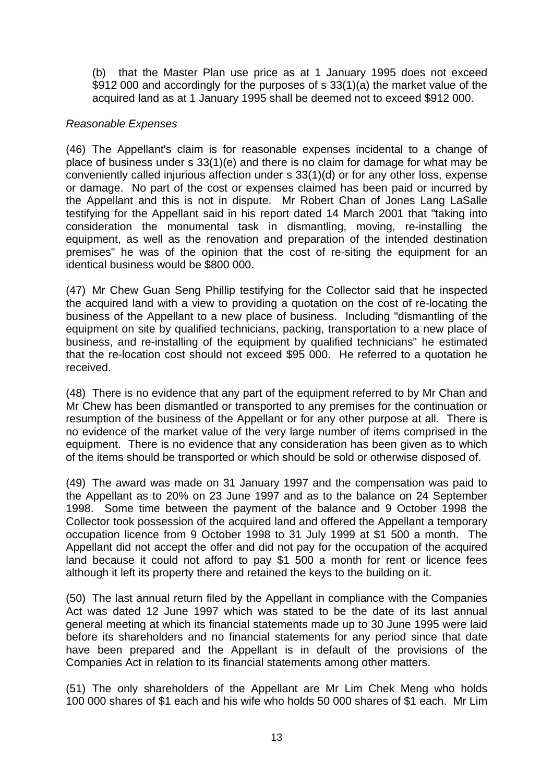(b) that the Master Plan use price as at 1 January 1995 does not exceed \$912 000 and accordingly for the purposes of s 33(1)(a) the market value of the acquired land as at 1 January 1995 shall be deemed not to exceed \$912 000.

# *Reasonable Expenses*

(46) The Appellant's claim is for reasonable expenses incidental to a change of place of business under s 33(1)(e) and there is no claim for damage for what may be conveniently called injurious affection under s 33(1)(d) or for any other loss, expense or damage. No part of the cost or expenses claimed has been paid or incurred by the Appellant and this is not in dispute. Mr Robert Chan of Jones Lang LaSalle testifying for the Appellant said in his report dated 14 March 2001 that "taking into consideration the monumental task in dismantling, moving, re-installing the equipment, as well as the renovation and preparation of the intended destination premises" he was of the opinion that the cost of re-siting the equipment for an identical business would be \$800 000.

(47) Mr Chew Guan Seng Phillip testifying for the Collector said that he inspected the acquired land with a view to providing a quotation on the cost of re-locating the business of the Appellant to a new place of business. Including "dismantling of the equipment on site by qualified technicians, packing, transportation to a new place of business, and re-installing of the equipment by qualified technicians" he estimated that the re-location cost should not exceed \$95 000. He referred to a quotation he received.

(48) There is no evidence that any part of the equipment referred to by Mr Chan and Mr Chew has been dismantled or transported to any premises for the continuation or resumption of the business of the Appellant or for any other purpose at all. There is no evidence of the market value of the very large number of items comprised in the equipment. There is no evidence that any consideration has been given as to which of the items should be transported or which should be sold or otherwise disposed of.

(49) The award was made on 31 January 1997 and the compensation was paid to the Appellant as to 20% on 23 June 1997 and as to the balance on 24 September 1998. Some time between the payment of the balance and 9 October 1998 the Collector took possession of the acquired land and offered the Appellant a temporary occupation licence from 9 October 1998 to 31 July 1999 at \$1 500 a month. The Appellant did not accept the offer and did not pay for the occupation of the acquired land because it could not afford to pay \$1 500 a month for rent or licence fees although it left its property there and retained the keys to the building on it.

(50) The last annual return filed by the Appellant in compliance with the Companies Act was dated 12 June 1997 which was stated to be the date of its last annual general meeting at which its financial statements made up to 30 June 1995 were laid before its shareholders and no financial statements for any period since that date have been prepared and the Appellant is in default of the provisions of the Companies Act in relation to its financial statements among other matters.

(51) The only shareholders of the Appellant are Mr Lim Chek Meng who holds 100 000 shares of \$1 each and his wife who holds 50 000 shares of \$1 each. Mr Lim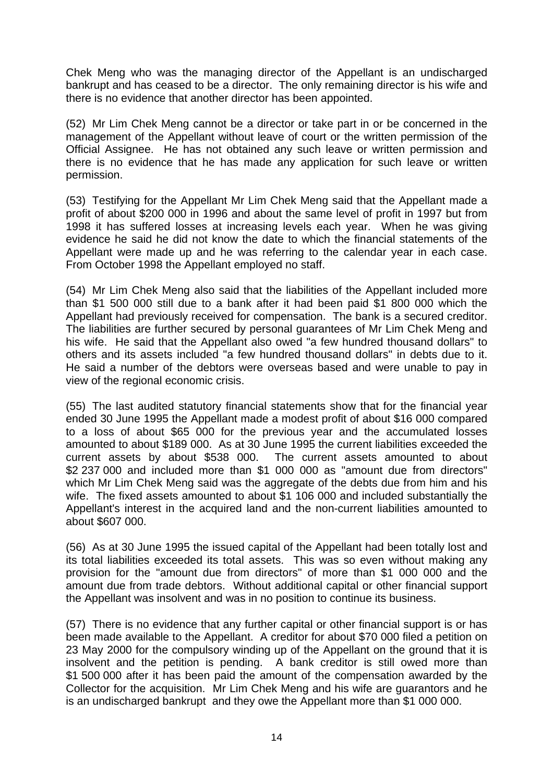Chek Meng who was the managing director of the Appellant is an undischarged bankrupt and has ceased to be a director. The only remaining director is his wife and there is no evidence that another director has been appointed.

(52) Mr Lim Chek Meng cannot be a director or take part in or be concerned in the management of the Appellant without leave of court or the written permission of the Official Assignee. He has not obtained any such leave or written permission and there is no evidence that he has made any application for such leave or written permission.

(53) Testifying for the Appellant Mr Lim Chek Meng said that the Appellant made a profit of about \$200 000 in 1996 and about the same level of profit in 1997 but from 1998 it has suffered losses at increasing levels each year. When he was giving evidence he said he did not know the date to which the financial statements of the Appellant were made up and he was referring to the calendar year in each case. From October 1998 the Appellant employed no staff.

(54) Mr Lim Chek Meng also said that the liabilities of the Appellant included more than \$1 500 000 still due to a bank after it had been paid \$1 800 000 which the Appellant had previously received for compensation. The bank is a secured creditor. The liabilities are further secured by personal guarantees of Mr Lim Chek Meng and his wife. He said that the Appellant also owed "a few hundred thousand dollars" to others and its assets included "a few hundred thousand dollars" in debts due to it. He said a number of the debtors were overseas based and were unable to pay in view of the regional economic crisis.

(55) The last audited statutory financial statements show that for the financial year ended 30 June 1995 the Appellant made a modest profit of about \$16 000 compared to a loss of about \$65 000 for the previous year and the accumulated losses amounted to about \$189 000. As at 30 June 1995 the current liabilities exceeded the current assets by about \$538 000. The current assets amounted to about \$2 237 000 and included more than \$1 000 000 as "amount due from directors" which Mr Lim Chek Meng said was the aggregate of the debts due from him and his wife. The fixed assets amounted to about \$1 106 000 and included substantially the Appellant's interest in the acquired land and the non-current liabilities amounted to about \$607 000.

(56) As at 30 June 1995 the issued capital of the Appellant had been totally lost and its total liabilities exceeded its total assets. This was so even without making any provision for the "amount due from directors" of more than \$1 000 000 and the amount due from trade debtors. Without additional capital or other financial support the Appellant was insolvent and was in no position to continue its business.

(57) There is no evidence that any further capital or other financial support is or has been made available to the Appellant. A creditor for about \$70 000 filed a petition on 23 May 2000 for the compulsory winding up of the Appellant on the ground that it is insolvent and the petition is pending. A bank creditor is still owed more than \$1 500 000 after it has been paid the amount of the compensation awarded by the Collector for the acquisition. Mr Lim Chek Meng and his wife are guarantors and he is an undischarged bankrupt and they owe the Appellant more than \$1 000 000.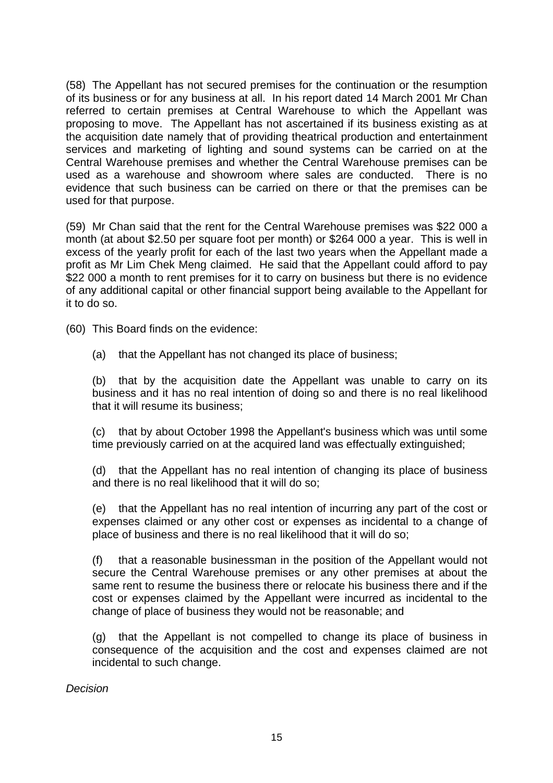(58) The Appellant has not secured premises for the continuation or the resumption of its business or for any business at all. In his report dated 14 March 2001 Mr Chan referred to certain premises at Central Warehouse to which the Appellant was proposing to move. The Appellant has not ascertained if its business existing as at the acquisition date namely that of providing theatrical production and entertainment services and marketing of lighting and sound systems can be carried on at the Central Warehouse premises and whether the Central Warehouse premises can be used as a warehouse and showroom where sales are conducted. There is no evidence that such business can be carried on there or that the premises can be used for that purpose.

(59) Mr Chan said that the rent for the Central Warehouse premises was \$22 000 a month (at about \$2.50 per square foot per month) or \$264 000 a year. This is well in excess of the yearly profit for each of the last two years when the Appellant made a profit as Mr Lim Chek Meng claimed. He said that the Appellant could afford to pay \$22 000 a month to rent premises for it to carry on business but there is no evidence of any additional capital or other financial support being available to the Appellant for it to do so.

(60) This Board finds on the evidence:

(a) that the Appellant has not changed its place of business;

(b) that by the acquisition date the Appellant was unable to carry on its business and it has no real intention of doing so and there is no real likelihood that it will resume its business;

(c) that by about October 1998 the Appellant's business which was until some time previously carried on at the acquired land was effectually extinguished;

(d) that the Appellant has no real intention of changing its place of business and there is no real likelihood that it will do so;

(e) that the Appellant has no real intention of incurring any part of the cost or expenses claimed or any other cost or expenses as incidental to a change of place of business and there is no real likelihood that it will do so;

(f) that a reasonable businessman in the position of the Appellant would not secure the Central Warehouse premises or any other premises at about the same rent to resume the business there or relocate his business there and if the cost or expenses claimed by the Appellant were incurred as incidental to the change of place of business they would not be reasonable; and

(g) that the Appellant is not compelled to change its place of business in consequence of the acquisition and the cost and expenses claimed are not incidental to such change.

*Decision*